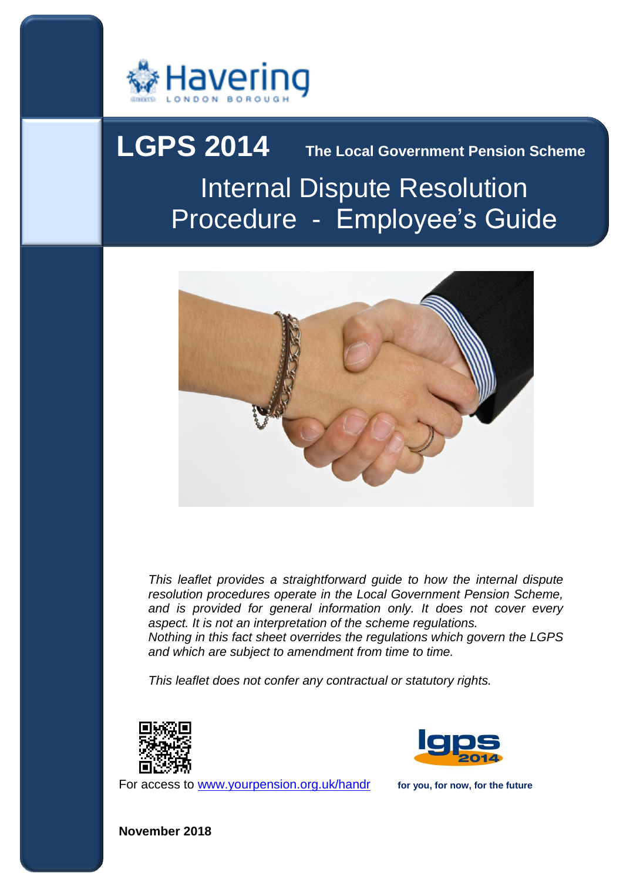

# Procedure - Employee's Guide **LGPS 2014** The Local Government Pension Scheme Internal Dispute Resolution



 *This leaflet provides a straightforward guide to how the internal dispute*  resolution procedures operate in the Local Government Pension Scheme, and is provided for general information only. It does not cover every *aspect. It is not an interpretation of the scheme regulations.* 

 *Nothing in this fact sheet overrides the regulations which govern the LGPS and which are subject to amendment from time to time.* 

*This leaflet does not confer any contractual or statutory rights.* 



For access to www.yourpension.org.uk/handr for you, for now, for the future



**November 2018**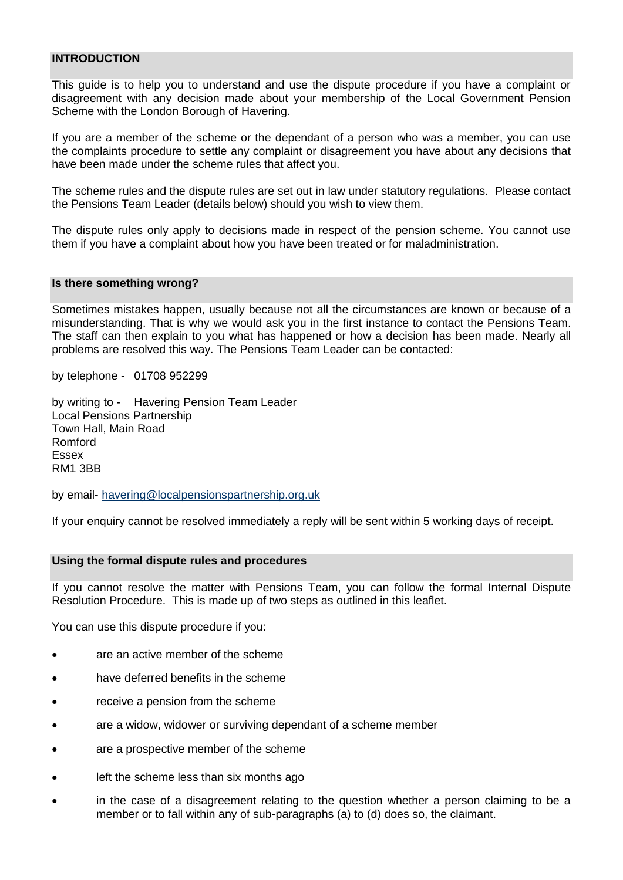## **INTRODUCTION**

 This guide is to help you to understand and use the dispute procedure if you have a complaint or disagreement with any decision made about your membership of the Local Government Pension Scheme with the London Borough of Havering.

 If you are a member of the scheme or the dependant of a person who was a member, you can use the complaints procedure to settle any complaint or disagreement you have about any decisions that have been made under the scheme rules that affect you.

 The scheme rules and the dispute rules are set out in law under statutory regulations. Please contact the Pensions Team Leader (details below) should you wish to view them.

 The dispute rules only apply to decisions made in respect of the pension scheme. You cannot use them if you have a complaint about how you have been treated or for maladministration.

#### **Is there something wrong?**

 Sometimes mistakes happen, usually because not all the circumstances are known or because of a misunderstanding. That is why we would ask you in the first instance to contact the Pensions Team. The staff can then explain to you what has happened or how a decision has been made. Nearly all problems are resolved this way. The Pensions Team Leader can be contacted:

by telephone - 01708 952299

 by writing to - Havering Pension Team Leader Town Hall, Main Road Local Pensions Partnership Romford Essex RM1 3BB

by email- havering@localpensionspartnership.org.uk

If your enquiry cannot be resolved immediately a reply will be sent within 5 working days of receipt.

#### **Using the formal dispute rules and procedures**

 If you cannot resolve the matter with Pensions Team, you can follow the formal Internal Dispute Resolution Procedure. This is made up of two steps as outlined in this leaflet.

You can use this dispute procedure if you:

- are an active member of the scheme
- have deferred benefits in the scheme
- **•** receive a pension from the scheme
- are a widow, widower or surviving dependant of a scheme member
- are a prospective member of the scheme
- left the scheme less than six months ago
- member or to fall within any of sub-paragraphs (a) to (d) does so, the claimant. in the case of a disagreement relating to the question whether a person claiming to be a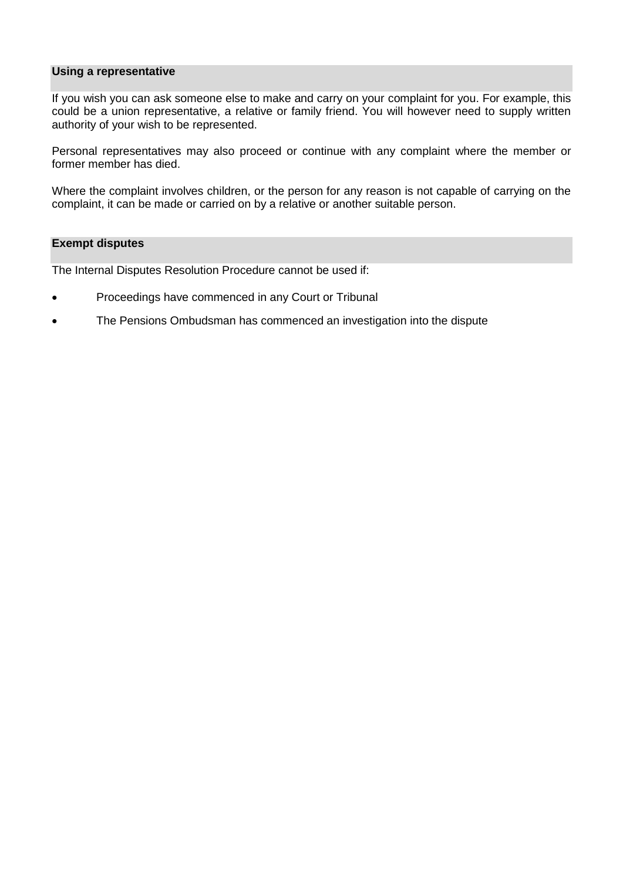#### **Using a representative**

 If you wish you can ask someone else to make and carry on your complaint for you. For example, this could be a union representative, a relative or family friend. You will however need to supply written authority of your wish to be represented.

 Personal representatives may also proceed or continue with any complaint where the member or former member has died.

 Where the complaint involves children, or the person for any reason is not capable of carrying on the complaint, it can be made or carried on by a relative or another suitable person.

## **Exempt disputes**

The Internal Disputes Resolution Procedure cannot be used if:

- Proceedings have commenced in any Court or Tribunal
- The Pensions Ombudsman has commenced an investigation into the dispute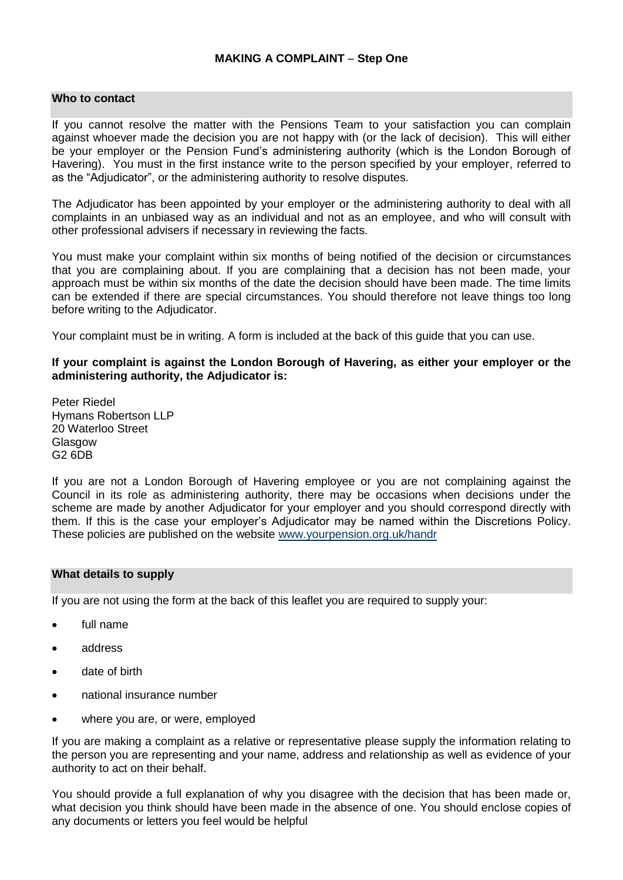## **MAKING A COMPLAINT** – **Step One**

## **Who to contact**

 If you cannot resolve the matter with the Pensions Team to your satisfaction you can complain against whoever made the decision you are not happy with (or the lack of decision). This will either be your employer or the Pension Fund's administering authority (which is the London Borough of Havering). You must in the first instance write to the person specified by your employer, referred to as the "Adjudicator", or the administering authority to resolve disputes.

 The Adjudicator has been appointed by your employer or the administering authority to deal with all complaints in an unbiased way as an individual and not as an employee, and who will consult with other professional advisers if necessary in reviewing the facts.

 You must make your complaint within six months of being notified of the decision or circumstances that you are complaining about. If you are complaining that a decision has not been made, your approach must be within six months of the date the decision should have been made. The time limits can be extended if there are special circumstances. You should therefore not leave things too long before writing to the Adjudicator.

Your complaint must be in writing. A form is included at the back of this guide that you can use.

## **If your complaint is against the London Borough of Havering, as either your employer or the administering authority, the Adjudicator is:**

 Peter Riedel Hymans Robertson LLP 20 Waterloo Street **Glasgow** G2 6DB

 If you are not a London Borough of Havering employee or you are not complaining against the Council in its role as administering authority, there may be occasions when decisions under the scheme are made by another Adjudicator for your employer and you should correspond directly with them. If this is the case your employer's Adjudicator may be named within the Discretions Policy. These policies are published on the website www.yourpension.org.uk/handr

#### **What details to supply**

If you are not using the form at the back of this leaflet you are required to supply your:

- full name
- address
- date of birth
- national insurance number
- where you are, or were, employed

 If you are making a complaint as a relative or representative please supply the information relating to the person you are representing and your name, address and relationship as well as evidence of your authority to act on their behalf.

 You should provide a full explanation of why you disagree with the decision that has been made or, what decision you think should have been made in the absence of one. You should enclose copies of any documents or letters you feel would be helpful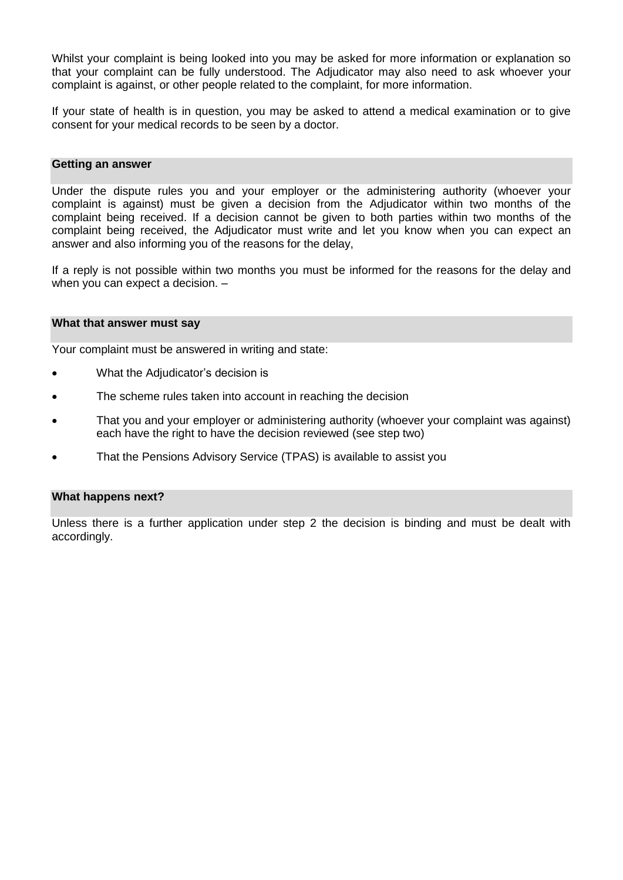Whilst your complaint is being looked into you may be asked for more information or explanation so that your complaint can be fully understood. The Adjudicator may also need to ask whoever your complaint is against, or other people related to the complaint, for more information.

 If your state of health is in question, you may be asked to attend a medical examination or to give consent for your medical records to be seen by a doctor.

#### **Getting an answer**

 Under the dispute rules you and your employer or the administering authority (whoever your complaint is against) must be given a decision from the Adjudicator within two months of the complaint being received. If a decision cannot be given to both parties within two months of the complaint being received, the Adjudicator must write and let you know when you can expect an answer and also informing you of the reasons for the delay,

 If a reply is not possible within two months you must be informed for the reasons for the delay and when you can expect a decision. –

#### **What that answer must say**

Your complaint must be answered in writing and state:

- What the Adjudicator's decision is
- The scheme rules taken into account in reaching the decision
- That you and your employer or administering authority (whoever your complaint was against) each have the right to have the decision reviewed (see step two)
- That the Pensions Advisory Service (TPAS) is available to assist you

#### **What happens next?**

 Unless there is a further application under step 2 the decision is binding and must be dealt with accordingly.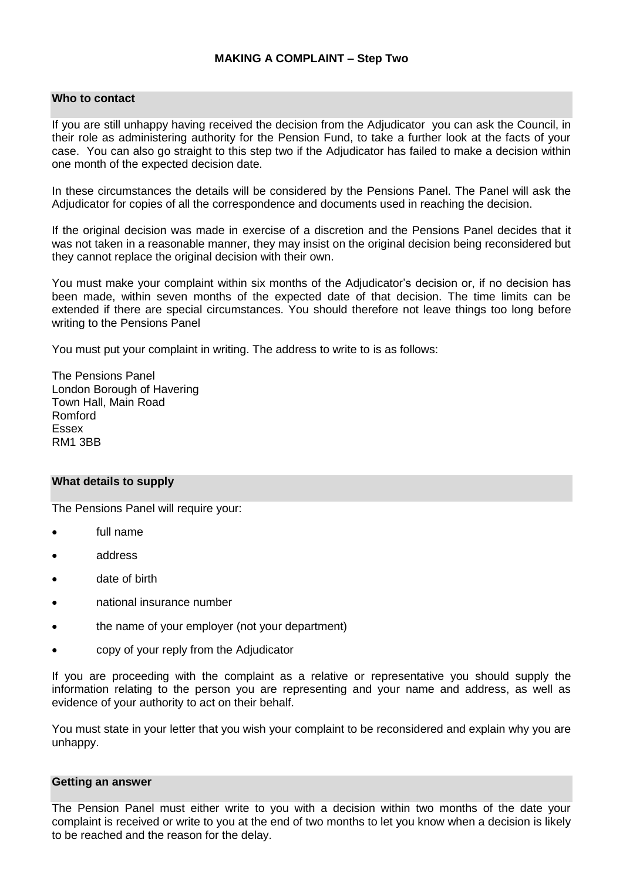## **Who to contact**

 If you are still unhappy having received the decision from the Adjudicator you can ask the Council, in their role as administering authority for the Pension Fund, to take a further look at the facts of your case. You can also go straight to this step two if the Adjudicator has failed to make a decision within one month of the expected decision date.

 In these circumstances the details will be considered by the Pensions Panel. The Panel will ask the Adjudicator for copies of all the correspondence and documents used in reaching the decision.

 If the original decision was made in exercise of a discretion and the Pensions Panel decides that it was not taken in a reasonable manner, they may insist on the original decision being reconsidered but they cannot replace the original decision with their own.

 You must make your complaint within six months of the Adjudicator's decision or, if no decision has been made, within seven months of the expected date of that decision. The time limits can be extended if there are special circumstances. You should therefore not leave things too long before writing to the Pensions Panel

You must put your complaint in writing. The address to write to is as follows:

 London Borough of Havering Town Hall, Main Road The Pensions Panel Romford Essex RM1 3BB

#### **What details to supply**

The Pensions Panel will require your:

- full name
- address
- date of birth
- national insurance number
- the name of your employer (not your department)
- copy of your reply from the Adjudicator

 If you are proceeding with the complaint as a relative or representative you should supply the information relating to the person you are representing and your name and address, as well as evidence of your authority to act on their behalf.

 You must state in your letter that you wish your complaint to be reconsidered and explain why you are unhappy.

#### **Getting an answer**

 The Pension Panel must either write to you with a decision within two months of the date your complaint is received or write to you at the end of two months to let you know when a decision is likely to be reached and the reason for the delay.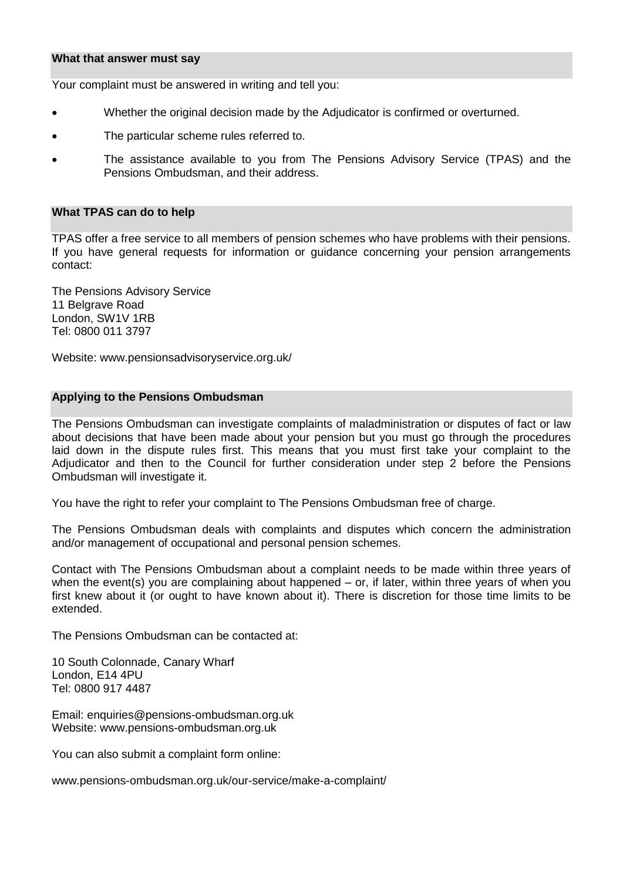#### **What that answer must say**

Your complaint must be answered in writing and tell you:

- Whether the original decision made by the Adjudicator is confirmed or overturned.
- The particular scheme rules referred to.
- The assistance available to you from The Pensions Advisory Service (TPAS) and the Pensions Ombudsman, and their address.

#### **What TPAS can do to help**

 TPAS offer a free service to all members of pension schemes who have problems with their pensions. If you have general requests for information or guidance concerning your pension arrangements contact:

 The Pensions Advisory Service London, SW1V 1RB Tel: 0800 011 3797 11 Belgrave Road

Website: [www.pensionsadvisoryservice.org.uk/](http://www.pensionsadvisoryservice.org.uk/) 

#### **Applying to the Pensions Ombudsman**

 The Pensions Ombudsman can investigate complaints of maladministration or disputes of fact or law about decisions that have been made about your pension but you must go through the procedures laid down in the dispute rules first. This means that you must first take your complaint to the Adjudicator and then to the Council for further consideration under step 2 before the Pensions Ombudsman will investigate it.

You have the right to refer your complaint to The Pensions Ombudsman free of charge.

 The Pensions Ombudsman deals with complaints and disputes which concern the administration and/or management of occupational and personal pension schemes.

 Contact with The Pensions Ombudsman about a complaint needs to be made within three years of when the event(s) you are complaining about happened – or, if later, within three years of when you first knew about it (or ought to have known about it). There is discretion for those time limits to be extended.

The Pensions Ombudsman can be contacted at:

 10 South Colonnade, Canary Wharf London, E14 4PU Tel: 0800 917 4487

Email: [enquiries@pensions-ombudsman.org.uk](mailto:enquiries@pensions-ombudsman.org.uk)  Website: [www.pensions-ombudsman.org.uk](http://www.pensions-ombudsman.org.uk/) 

You can also submit a complaint form online:

[www.pensions-ombudsman.org.uk/our-service/make-a-complaint/](https://www.pensions-ombudsman.org.uk/our-service/make-a-complaint/)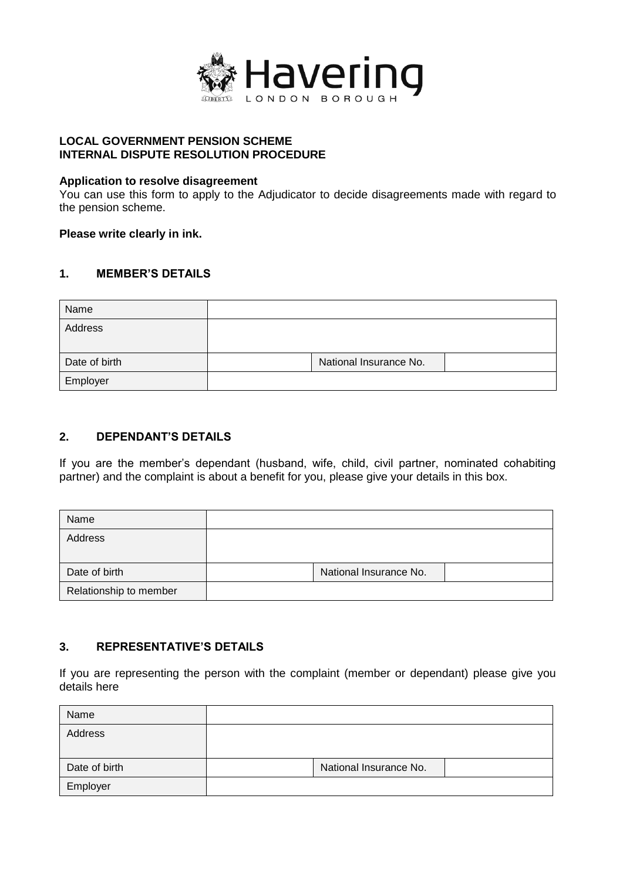

## **LOCAL GOVERNMENT PENSION SCHEME INTERNAL DISPUTE RESOLUTION PROCEDURE**

## **Application to resolve disagreement**

 You can use this form to apply to the Adjudicator to decide disagreements made with regard to the pension scheme.

## **Please write clearly in ink.**

## **1. MEMBER'S DETAILS**

| Name          |                        |  |
|---------------|------------------------|--|
| Address       |                        |  |
|               |                        |  |
| Date of birth | National Insurance No. |  |
| Employer      |                        |  |

## **2. DEPENDANT'S DETAILS**

 If you are the member's dependant (husband, wife, child, civil partner, nominated cohabiting partner) and the complaint is about a benefit for you, please give your details in this box.

| Name                   |                        |  |
|------------------------|------------------------|--|
| Address                |                        |  |
|                        |                        |  |
| Date of birth          | National Insurance No. |  |
| Relationship to member |                        |  |

# **3. REPRESENTATIVE'S DETAILS**

 If you are representing the person with the complaint (member or dependant) please give you details here

| Name          |                        |  |
|---------------|------------------------|--|
| Address       |                        |  |
| Date of birth | National Insurance No. |  |
| Employer      |                        |  |